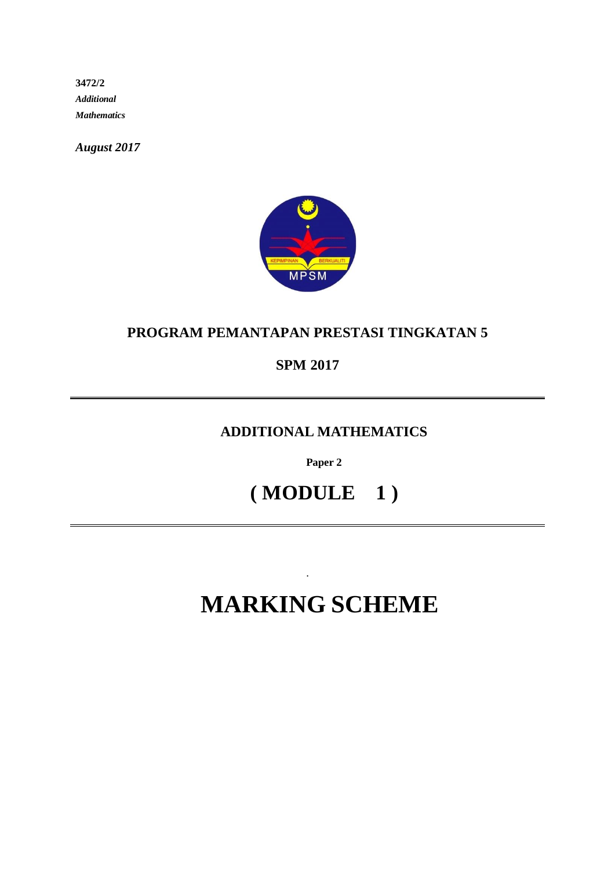**3472/2**  *Additional Mathematics*

*August 2017*



### **PROGRAM PEMANTAPAN PRESTASI TINGKATAN 5**

### **SPM 2017**

### **ADDITIONAL MATHEMATICS**

**Paper 2** 

## **( MODULE 1 )**

# **MARKING SCHEME**

.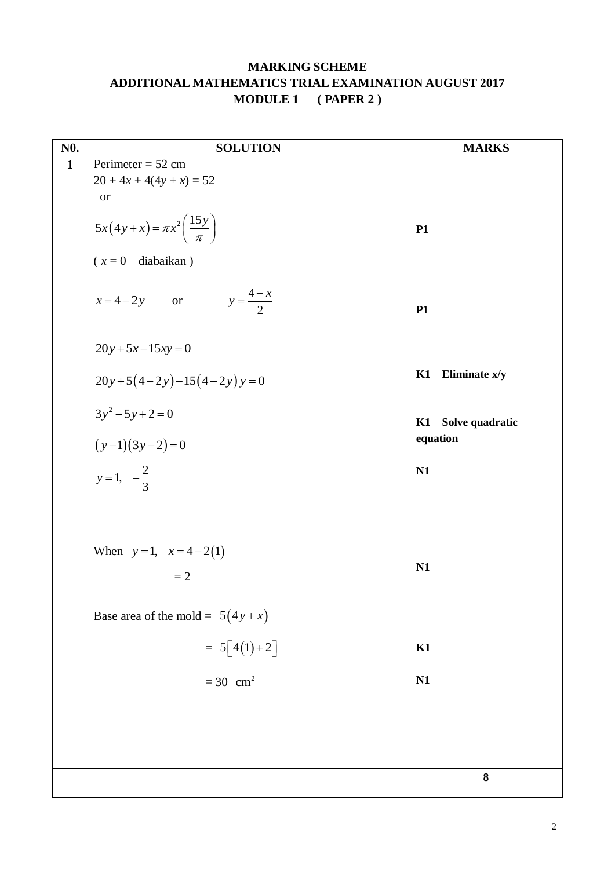### **MARKING SCHEME ADDITIONAL MATHEMATICS TRIAL EXAMINATION AUGUST 2017 MODULE 1 ( PAPER 2 )**

| N <sub>0</sub> . | <b>SOLUTION</b>                                                   | <b>MARKS</b>          |
|------------------|-------------------------------------------------------------------|-----------------------|
| $\mathbf{1}$     | Perimeter = $52$ cm                                               |                       |
|                  | $20 + 4x + 4(4y + x) = 52$                                        |                       |
|                  | <b>or</b>                                                         |                       |
|                  | $5x(4y+x) = \pi x^2 \left(\frac{15y}{\pi}\right)$                 | <b>P1</b>             |
|                  | $(x=0$ diabaikan)                                                 |                       |
|                  | $x=4-2y$ or $y=\frac{4-x}{2}$                                     | P1                    |
|                  | $20y+5x-15xy=0$                                                   |                       |
|                  | $20y+5(4-2y)-15(4-2y)y=0$                                         | Eliminate x/y<br>K1   |
|                  |                                                                   | Solve quadratic<br>K1 |
|                  |                                                                   | equation              |
|                  | $3y^2 - 5y + 2 = 0$<br>$(y-1)(3y-2) = 0$<br>$y = 1, -\frac{2}{3}$ | N1                    |
|                  |                                                                   |                       |
|                  | When $y=1$ , $x=4-2(1)$                                           |                       |
|                  |                                                                   | N1                    |
|                  | $=2$                                                              |                       |
|                  | Base area of the mold = $5(4y+x)$                                 |                       |
|                  | $= 5[4(1)+2]$                                                     | K1                    |
|                  |                                                                   | N1                    |
|                  | $= 30$ cm <sup>2</sup>                                            |                       |
|                  |                                                                   |                       |
|                  |                                                                   |                       |
|                  |                                                                   |                       |
|                  |                                                                   | 8                     |
|                  |                                                                   |                       |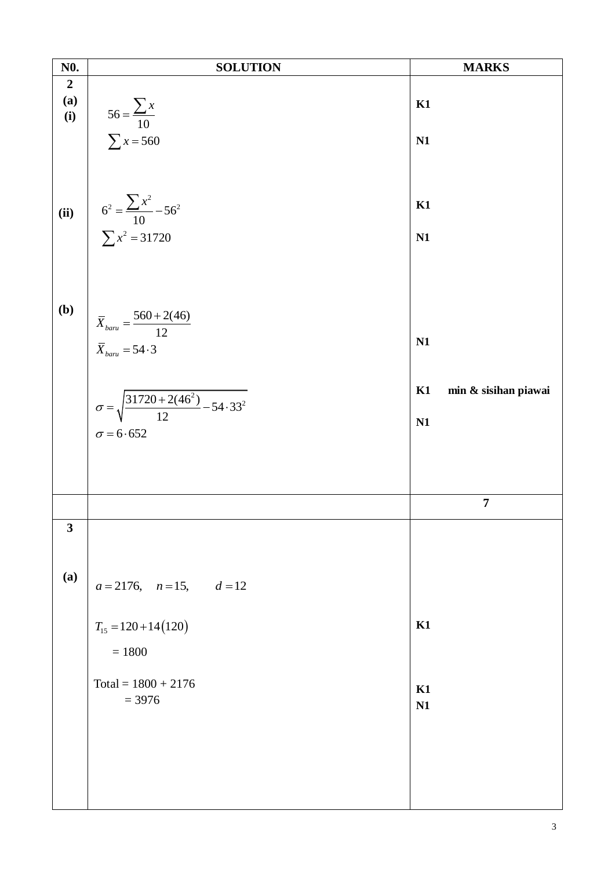| N <sub>0</sub> .        | <b>SOLUTION</b>                                                                | <b>MARKS</b>               |
|-------------------------|--------------------------------------------------------------------------------|----------------------------|
| $\boldsymbol{2}$        |                                                                                |                            |
| (a)                     |                                                                                | K1                         |
| (i)                     | $56 = \frac{\sum x}{10}$ $\sum x = 560$                                        |                            |
|                         |                                                                                |                            |
|                         |                                                                                | N1                         |
|                         |                                                                                |                            |
|                         |                                                                                |                            |
|                         |                                                                                |                            |
|                         |                                                                                | K1                         |
|                         | (ii) $6^2 = \frac{\sum x^2}{10} - 56^2$<br>$\sum x^2 = 31720$                  |                            |
|                         |                                                                                | N1                         |
|                         |                                                                                |                            |
|                         |                                                                                |                            |
|                         |                                                                                |                            |
| (b)                     |                                                                                |                            |
|                         | $\overline{X}_{baru} = \frac{560 + 2(46)}{12}$<br>$\overline{X}_{baru} = 54.3$ |                            |
|                         |                                                                                | N1                         |
|                         |                                                                                |                            |
|                         |                                                                                |                            |
|                         |                                                                                | K1<br>min & sisihan piawai |
|                         | $\sigma = \sqrt{\frac{31720 + 2(46^2)}{12} - 54.33^2}$                         |                            |
|                         |                                                                                | N1                         |
|                         | $\sigma$ = 6.652                                                               |                            |
|                         |                                                                                |                            |
|                         |                                                                                |                            |
|                         |                                                                                |                            |
|                         |                                                                                | $\overline{7}$             |
|                         |                                                                                |                            |
| $\overline{\mathbf{3}}$ |                                                                                |                            |
|                         |                                                                                |                            |
|                         |                                                                                |                            |
| (a)                     | $a = 2176$ , $n = 15$ , $d = 12$                                               |                            |
|                         |                                                                                |                            |
|                         |                                                                                |                            |
|                         | $T_{15} = 120 + 14(120)$                                                       | K1                         |
|                         | $= 1800$                                                                       |                            |
|                         |                                                                                |                            |
|                         | $Total = 1800 + 2176$                                                          |                            |
|                         | $= 3976$                                                                       | K1                         |
|                         |                                                                                | N1                         |
|                         |                                                                                |                            |
|                         |                                                                                |                            |
|                         |                                                                                |                            |
|                         |                                                                                |                            |
|                         |                                                                                |                            |
|                         |                                                                                |                            |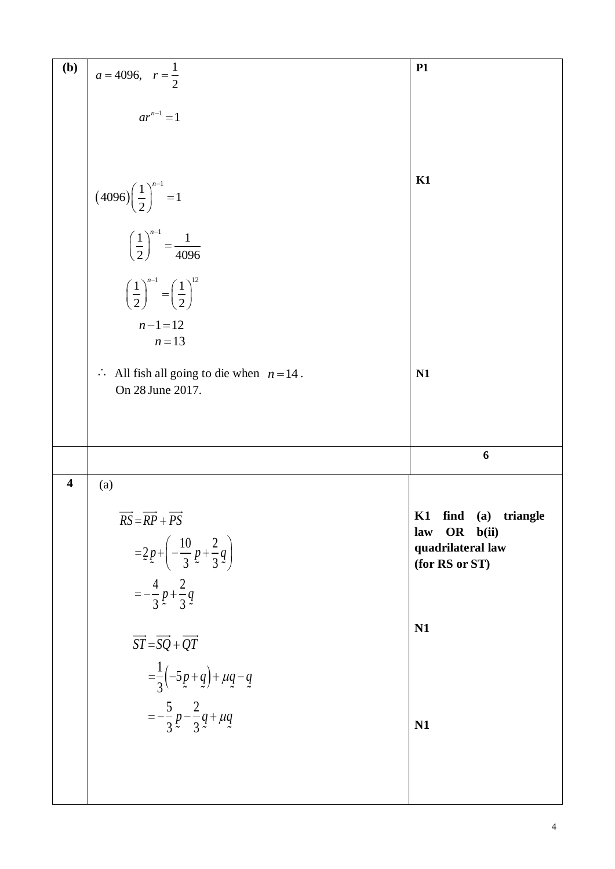| (b)                     | $a = 4096$ , $r = \frac{1}{2}$                                    | <b>P1</b>               |
|-------------------------|-------------------------------------------------------------------|-------------------------|
|                         |                                                                   |                         |
|                         |                                                                   |                         |
|                         |                                                                   |                         |
|                         | $ar^{n-1} = 1$                                                    |                         |
|                         |                                                                   |                         |
|                         |                                                                   |                         |
|                         |                                                                   |                         |
|                         |                                                                   |                         |
|                         |                                                                   | K1                      |
|                         | $(4096)\left(\frac{1}{2}\right)^{n-1}=1$                          |                         |
|                         |                                                                   |                         |
|                         |                                                                   |                         |
|                         |                                                                   |                         |
|                         | $\left(\frac{1}{2}\right)^{n-1} = \frac{1}{4096}$                 |                         |
|                         |                                                                   |                         |
|                         |                                                                   |                         |
|                         |                                                                   |                         |
|                         | $\left(\frac{1}{2}\right)^{n-1} = \left(\frac{1}{2}\right)^{12}$  |                         |
|                         |                                                                   |                         |
|                         |                                                                   |                         |
|                         | $n-1=12$                                                          |                         |
|                         |                                                                   |                         |
|                         | $n = 13$                                                          |                         |
|                         |                                                                   |                         |
|                         |                                                                   |                         |
|                         | All fish all going to die when $n = 14$ .<br>$\ddot{\cdot}$       | N1                      |
|                         | On 28 June 2017.                                                  |                         |
|                         |                                                                   |                         |
|                         |                                                                   |                         |
|                         |                                                                   |                         |
|                         |                                                                   |                         |
|                         |                                                                   | 6                       |
|                         |                                                                   |                         |
|                         |                                                                   |                         |
| $\overline{\mathbf{4}}$ | (a)                                                               |                         |
|                         |                                                                   |                         |
|                         |                                                                   |                         |
|                         |                                                                   |                         |
|                         | $RS = RP + PS$                                                    | find (a) triangle<br>K1 |
|                         |                                                                   | OR b(ii)<br>law         |
|                         |                                                                   |                         |
|                         |                                                                   | quadrilateral law       |
|                         | $=2p+\left(-\frac{10}{3}p+\frac{2}{3}q\right)$                    | (for RS or ST)          |
|                         |                                                                   |                         |
|                         |                                                                   |                         |
|                         | $=-\frac{4}{3}p+\frac{2}{3}q$                                     |                         |
|                         |                                                                   |                         |
|                         |                                                                   | N1                      |
|                         |                                                                   |                         |
|                         | $\overrightarrow{ST} = \overrightarrow{SQ} + \overrightarrow{QT}$ |                         |
|                         |                                                                   |                         |
|                         |                                                                   |                         |
|                         | $=\frac{1}{3}(-5p+q)+\mu q-q$                                     |                         |
|                         |                                                                   |                         |
|                         |                                                                   |                         |
|                         |                                                                   | N1                      |
|                         | $=-\frac{5}{3}p-\frac{2}{3}q+\mu q$                               |                         |
|                         |                                                                   |                         |
|                         |                                                                   |                         |
|                         |                                                                   |                         |
|                         |                                                                   |                         |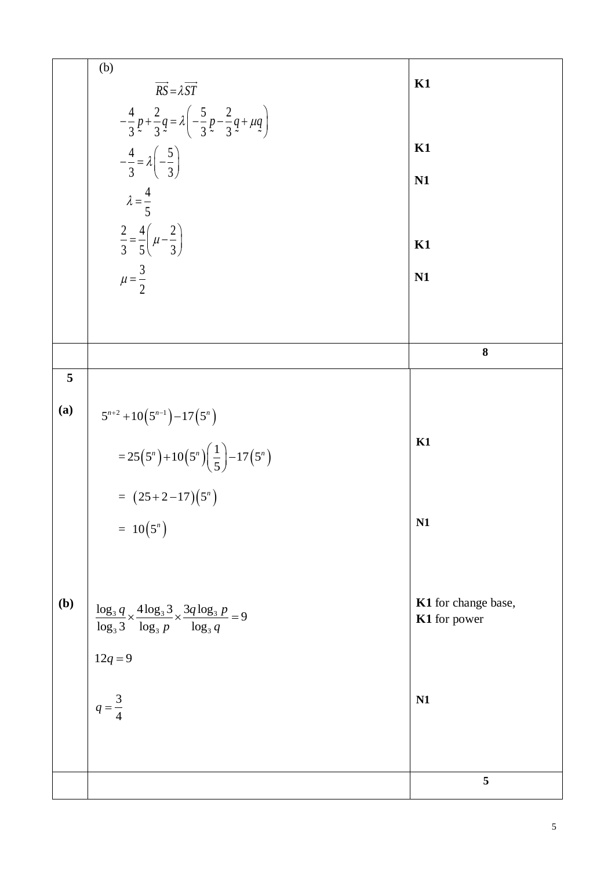|     | (b)                                                                                                    | K1                                  |
|-----|--------------------------------------------------------------------------------------------------------|-------------------------------------|
|     | $\overrightarrow{RS} = \lambda \overrightarrow{ST}$                                                    |                                     |
|     | $-\frac{4}{3}p+\frac{2}{3}q = \lambda \left(-\frac{5}{3}p-\frac{2}{3}q+\mu q\right)$                   |                                     |
|     | $-\frac{4}{3} = \lambda \left(-\frac{5}{3}\right)$                                                     | K1                                  |
|     | $\lambda = \frac{4}{5}$                                                                                | N1                                  |
|     |                                                                                                        |                                     |
|     | $rac{2}{3} = \frac{4}{5} \left( \mu - \frac{2}{3} \right)$                                             | K1                                  |
|     | $\mu = \frac{3}{2}$                                                                                    | N <sub>1</sub>                      |
|     |                                                                                                        |                                     |
|     |                                                                                                        |                                     |
|     |                                                                                                        | 8                                   |
| 5   |                                                                                                        |                                     |
| (a) | $5^{n+2} + 10(5^{n-1}) - 17(5^n)$                                                                      |                                     |
|     | $=25(5^n)+10(5^n)(\frac{1}{5})-17(5^n)$                                                                | K1                                  |
|     | $= (25 + 2 - 17)(5^n)$                                                                                 |                                     |
|     | $= 10(5^n)$                                                                                            | N <sub>1</sub>                      |
|     |                                                                                                        |                                     |
|     |                                                                                                        |                                     |
| (b) | $\frac{\log_3 q}{\log_3 3} \times \frac{4 \log_3 3}{\log_3 p} \times \frac{3q \log_3 p}{\log_3 q} = 9$ | K1 for change base,<br>K1 for power |
|     | $12q = 9$                                                                                              |                                     |
|     | $q = \frac{3}{4}$                                                                                      | N1                                  |
|     |                                                                                                        |                                     |
|     |                                                                                                        | 5                                   |
|     |                                                                                                        |                                     |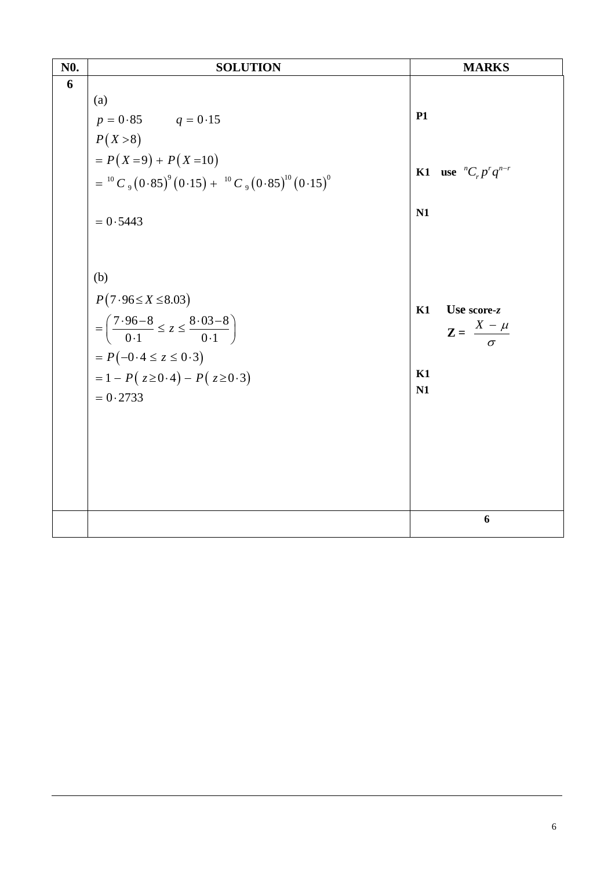| N <sub>0</sub> . | <b>SOLUTION</b>                                                                                                                                                                                          | <b>MARKS</b>                                                  |
|------------------|----------------------------------------------------------------------------------------------------------------------------------------------------------------------------------------------------------|---------------------------------------------------------------|
| 6                | (a)<br>$p = 0.85$ $q = 0.15$<br>P(X>8)<br>$= P(X=9) + P(X=10)$                                                                                                                                           | <b>P1</b><br>K1 use ${}^nC_r p^r q^{n-r}$                     |
|                  | $= {}^{10}C_9 (0.85)^9 (0.15) + {}^{10}C_9 (0.85)^{10} (0.15)^0$<br>$= 0.5443$                                                                                                                           | N1                                                            |
|                  | (b)<br>$P(7.96 \le X \le 8.03)$<br>$=\left(\frac{7\cdot 96-8}{0\cdot 1}\leq z\leq \frac{8\cdot 03-8}{0\cdot 1}\right)$<br>$= P(-0.4 \le z \le 0.3)$<br>$= 1 - P(z \ge 0.4) - P(z \ge 0.3)$<br>$= 0.2733$ | Use score-z<br>K1<br>$Z = \frac{X - \mu}{\sigma}$<br>K1<br>N1 |
|                  |                                                                                                                                                                                                          | 6                                                             |
|                  |                                                                                                                                                                                                          |                                                               |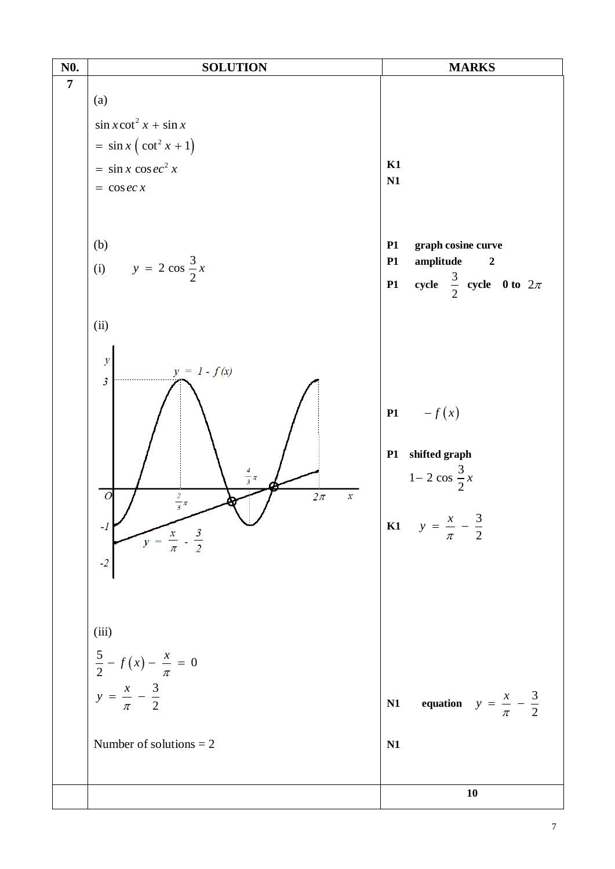| N <sub>0</sub> . | <b>SOLUTION</b>                                                | <b>MARKS</b>                                     |
|------------------|----------------------------------------------------------------|--------------------------------------------------|
| $\overline{7}$   |                                                                |                                                  |
|                  | (a)                                                            |                                                  |
|                  | $\sin x \cot^2 x + \sin x$                                     |                                                  |
|                  | $=$ sin x $\left(\cot^2 x + 1\right)$                          |                                                  |
|                  | $=$ sin x cosec <sup>2</sup> x                                 | K1                                               |
|                  | $= \cos ecx$                                                   | N1                                               |
|                  |                                                                |                                                  |
|                  |                                                                |                                                  |
|                  | (b)                                                            | graph cosine curve<br><b>P1</b>                  |
|                  | (i) $y = 2 \cos \frac{3}{2} x$                                 | P1<br>amplitude<br>$\boldsymbol{2}$              |
|                  |                                                                | cycle $\frac{3}{2}$ cycle 0 to $2\pi$<br>P1      |
|                  |                                                                |                                                  |
|                  | (ii)                                                           |                                                  |
|                  |                                                                |                                                  |
|                  | $\mathcal{Y}$                                                  |                                                  |
|                  | $y = 1 - f(x)$<br>$\overline{\mathbf{3}}$                      |                                                  |
|                  |                                                                |                                                  |
|                  |                                                                | <b>P1</b> $-f(x)$                                |
|                  |                                                                |                                                  |
|                  |                                                                | shifted graph<br>P1                              |
|                  | $rac{4}{3}\pi$                                                 | $1-2 \cos \frac{3}{2} x$                         |
|                  | $2\pi$<br>$\overline{O}$<br>$rac{2}{3}\pi$<br>$\boldsymbol{x}$ |                                                  |
|                  |                                                                | $y = \frac{x}{\pi} - \frac{3}{2}$<br>K1          |
|                  | $y = \frac{x}{\pi} - \frac{3}{2}$                              |                                                  |
|                  |                                                                |                                                  |
|                  |                                                                |                                                  |
|                  |                                                                |                                                  |
|                  |                                                                |                                                  |
|                  | (iii)                                                          |                                                  |
|                  | $\frac{5}{2} - f(x) - \frac{x}{\pi} = 0$                       |                                                  |
|                  |                                                                |                                                  |
|                  | $y = \frac{x}{\pi} - \frac{3}{2}$                              | equation $y = \frac{x}{\pi} - \frac{3}{2}$<br>N1 |
|                  |                                                                |                                                  |
|                  | Number of solutions $= 2$                                      | N1                                               |
|                  |                                                                |                                                  |
|                  |                                                                |                                                  |
|                  |                                                                | 10                                               |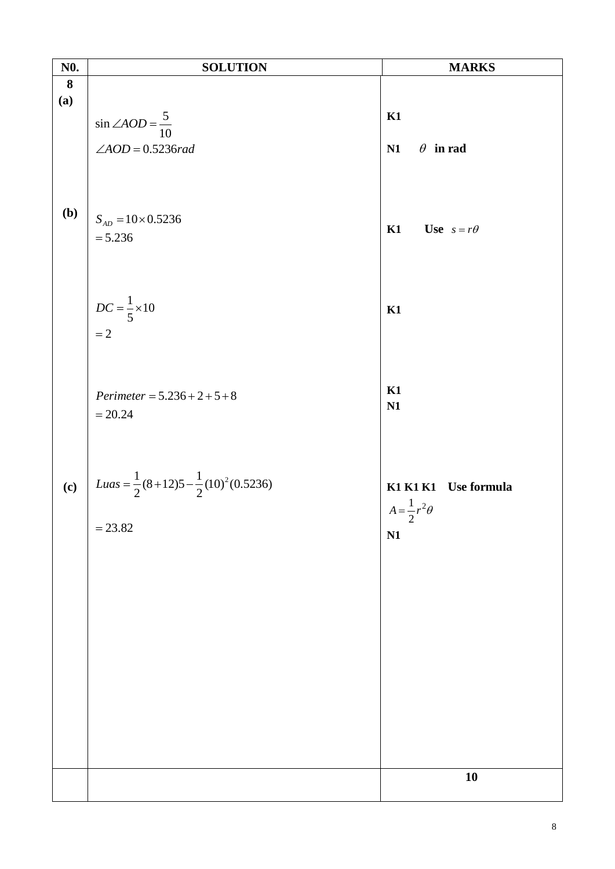| <b>N0.</b>                 | <b>SOLUTION</b>                                                         | <b>MARKS</b>             |
|----------------------------|-------------------------------------------------------------------------|--------------------------|
| $\bf{8}$                   |                                                                         |                          |
| (a)                        |                                                                         |                          |
|                            | $\sin \angle AOD = \frac{5}{10}$                                        | K1                       |
|                            |                                                                         | N1                       |
|                            | $\angle AOD = 0.5236rad$                                                | $\theta$ in rad          |
|                            |                                                                         |                          |
|                            |                                                                         |                          |
| <b>(b)</b>                 | $S_{AD} = 10 \times 0.5236$                                             |                          |
|                            | $= 5.236$                                                               | Use $s = r\theta$<br>K1  |
|                            |                                                                         |                          |
|                            |                                                                         |                          |
|                            |                                                                         |                          |
|                            | $DC = \frac{1}{5} \times 10$                                            | K1                       |
|                            |                                                                         |                          |
|                            | $=2$                                                                    |                          |
|                            |                                                                         |                          |
|                            |                                                                         |                          |
|                            | $Perimeter = 5.236 + 2 + 5 + 8$                                         | K1                       |
|                            | $= 20.24$                                                               | N1                       |
|                            |                                                                         |                          |
|                            |                                                                         |                          |
|                            |                                                                         |                          |
| $\left( \mathbf{c}\right)$ | Luas = $\frac{1}{2}$ (8+12)5 – $\frac{1}{2}$ (10) <sup>2</sup> (0.5236) | K1 K1 K1 Use formula     |
|                            |                                                                         | $A=\frac{1}{2}r^2\theta$ |
|                            | $= 23.82$                                                               | $\overline{a}$           |
|                            |                                                                         | N1                       |
|                            |                                                                         |                          |
|                            |                                                                         |                          |
|                            |                                                                         |                          |
|                            |                                                                         |                          |
|                            |                                                                         |                          |
|                            |                                                                         |                          |
|                            |                                                                         |                          |
|                            |                                                                         |                          |
|                            |                                                                         |                          |
|                            |                                                                         |                          |
|                            |                                                                         |                          |
|                            |                                                                         |                          |
|                            |                                                                         | ${\bf 10}$               |
|                            |                                                                         |                          |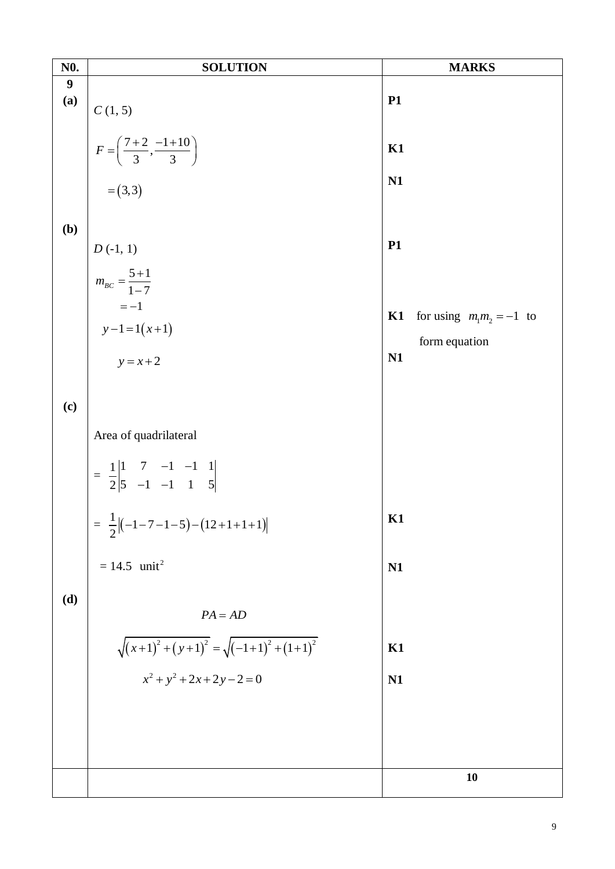| <b>N0.</b>       | <b>SOLUTION</b>                                                                        | <b>MARKS</b>                                            |
|------------------|----------------------------------------------------------------------------------------|---------------------------------------------------------|
| $\boldsymbol{9}$ |                                                                                        |                                                         |
| (a)              | $C\left( 1,5\right)$                                                                   | <b>P1</b>                                               |
|                  | $\left  F = \left( \frac{7+2}{3}, \frac{-1+10}{3} \right) \right $<br>= (3,3)          | K1<br>N1                                                |
| (b)              | $D(-1, 1)$                                                                             | <b>P1</b>                                               |
|                  | $m_{BC} = \frac{5+1}{1-7}$<br>$=-1$<br>$y-1=1(x+1)$<br>$y = x + 2$                     | for using $m_1m_2 = -1$ to<br>K1<br>form equation<br>N1 |
| (c)              |                                                                                        |                                                         |
|                  | Area of quadrilateral                                                                  |                                                         |
|                  | $=\frac{1}{2}\begin{vmatrix} 1 & 7 & -1 & -1 & 1 \\ 5 & -1 & -1 & 1 & 5 \end{vmatrix}$ |                                                         |
|                  | = $\frac{1}{2}$ [(-1-7-1-5)-(12+1+1+1)]                                                | K1                                                      |
|                  | $= 14.5$ unit <sup>2</sup>                                                             | N1                                                      |
| (d)              | $PA = AD$<br>$\sqrt{(x+1)^2 + (y+1)^2} = \sqrt{(-1+1)^2 + (1+1)^2}$                    | K1                                                      |
|                  |                                                                                        |                                                         |
|                  | $x^2 + y^2 + 2x + 2y - 2 = 0$                                                          | N1                                                      |
|                  |                                                                                        |                                                         |
|                  |                                                                                        | 10                                                      |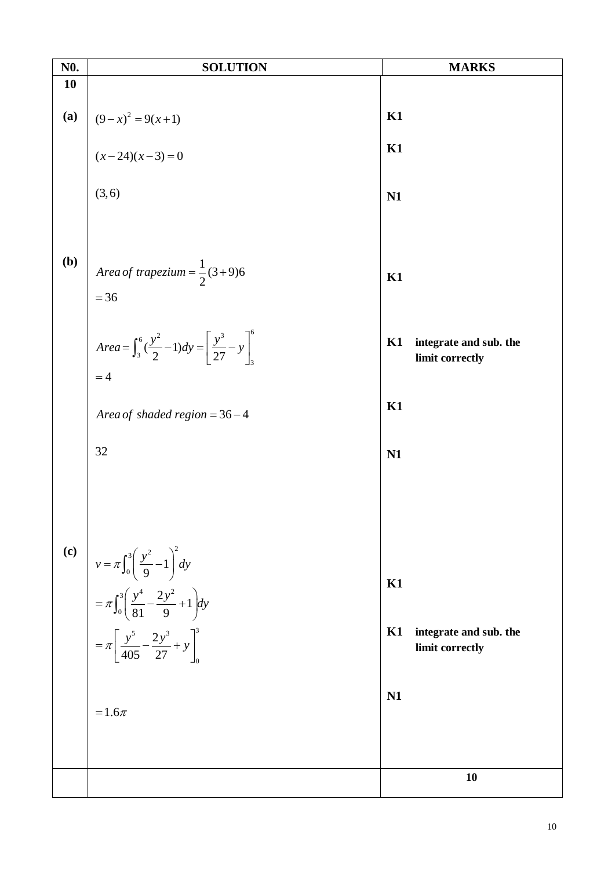| N <sub>0</sub> .           | <b>SOLUTION</b>                                                                                                                |    | <b>MARKS</b>                              |
|----------------------------|--------------------------------------------------------------------------------------------------------------------------------|----|-------------------------------------------|
| 10                         |                                                                                                                                |    |                                           |
| (a)                        |                                                                                                                                | K1 |                                           |
|                            | $(9-x)^2 = 9(x+1)$<br>$(x-24)(x-3) = 0$                                                                                        | K1 |                                           |
|                            | (3, 6)                                                                                                                         | N1 |                                           |
| (b)                        |                                                                                                                                |    |                                           |
|                            | Area of trapezium = $\frac{1}{2}(3+9)6$<br>$= 36$                                                                              | K1 |                                           |
|                            | Area = $\int_3^6 (\frac{y^2}{2} - 1) dy = \left[ \frac{y^3}{27} - y \right]_2^6$                                               | K1 | integrate and sub. the                    |
|                            | $=4$                                                                                                                           |    | limit correctly                           |
|                            | Area of shaded region = $36-4$                                                                                                 | K1 |                                           |
|                            | 32                                                                                                                             | N1 |                                           |
|                            |                                                                                                                                |    |                                           |
| $\left( \mathbf{c}\right)$ |                                                                                                                                |    |                                           |
|                            | $v = \pi \int_0^3 \left(\frac{y^2}{9} - 1\right)^2 dy$<br>= $\pi \int_0^3 \left(\frac{y^4}{81} - \frac{2y^2}{9} + 1\right) dy$ | K1 |                                           |
|                            | $= \pi \left[ \frac{y^5}{405} - \frac{2y^3}{27} + y \right]_0^3$                                                               | K1 | integrate and sub. the<br>limit correctly |
|                            | $=1.6\pi$                                                                                                                      | N1 |                                           |
|                            |                                                                                                                                |    |                                           |
|                            |                                                                                                                                |    | 10                                        |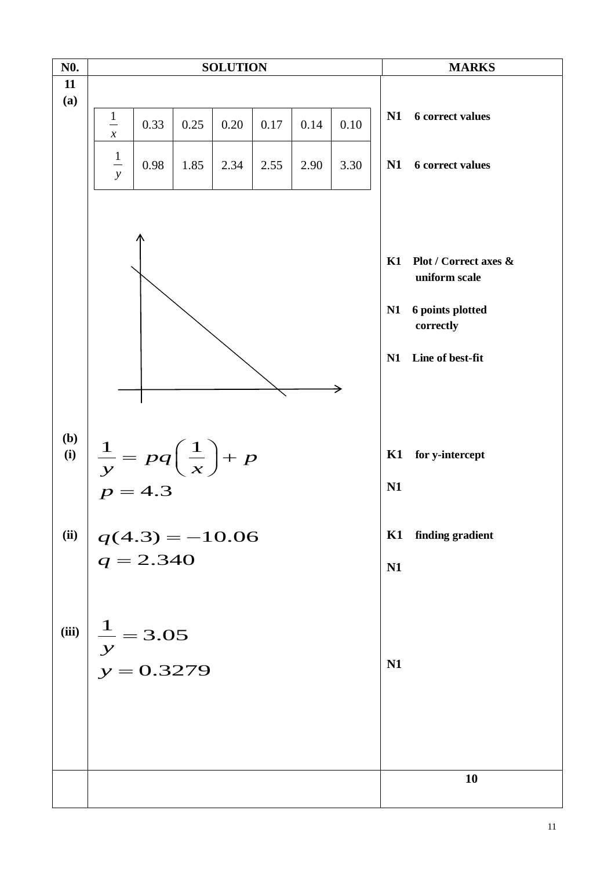| N <sub>0</sub> .    | <b>SOLUTION</b>                                             |      |      |      |      |      |      |               | <b>MARKS</b>            |
|---------------------|-------------------------------------------------------------|------|------|------|------|------|------|---------------|-------------------------|
| 11                  |                                                             |      |      |      |      |      |      |               |                         |
| (a)                 |                                                             |      |      |      |      |      |      |               |                         |
|                     | $\frac{1}{\sqrt{2}}$                                        | 0.33 | 0.25 | 0.20 | 0.17 | 0.14 | 0.10 | N1            | <b>6</b> correct values |
|                     | $\boldsymbol{\mathcal{X}}$                                  |      |      |      |      |      |      |               |                         |
|                     | $\frac{1}{1}$                                               | 0.98 | 1.85 | 2.34 | 2.55 | 2.90 | 3.30 | N1            | <b>6</b> correct values |
|                     | $\mathcal{Y}$                                               |      |      |      |      |      |      |               |                         |
|                     |                                                             |      |      |      |      |      |      |               |                         |
|                     |                                                             |      |      |      |      |      |      |               |                         |
|                     |                                                             |      |      |      |      |      |      |               |                         |
|                     |                                                             |      |      |      |      |      |      | K1            | Plot / Correct axes &   |
|                     |                                                             |      |      |      |      |      |      | uniform scale |                         |
|                     |                                                             |      |      |      |      |      |      | N1            | 6 points plotted        |
|                     |                                                             |      |      |      |      |      |      |               | correctly               |
|                     |                                                             |      |      |      |      |      |      |               |                         |
|                     |                                                             |      |      |      |      |      |      | N1            | Line of best-fit        |
|                     |                                                             |      |      |      |      |      |      |               |                         |
|                     |                                                             |      |      |      |      |      |      |               |                         |
|                     |                                                             |      |      |      |      |      |      |               |                         |
| ( <b>b</b> )<br>(i) | $\frac{1}{y} = pq\left(\frac{1}{x}\right) + p$<br>$p = 4.3$ |      |      |      |      |      |      | K1            | for y-intercept         |
|                     |                                                             |      |      |      |      |      |      |               |                         |
|                     |                                                             |      |      |      |      |      |      | N1            |                         |
|                     |                                                             |      |      |      |      |      |      |               |                         |
| (ii)                |                                                             |      |      |      |      |      |      | K1            | finding gradient        |
|                     | $q(4.3) = -10.06$<br>$q = 2.340$                            |      |      |      |      |      |      |               |                         |
|                     |                                                             |      |      |      |      |      |      | N1            |                         |
|                     |                                                             |      |      |      |      |      |      |               |                         |
|                     |                                                             |      |      |      |      |      |      |               |                         |
| (iii)               | $\frac{1}{y} = 3.05$<br>$y = 0.3279$                        |      |      |      |      |      |      |               |                         |
|                     |                                                             |      |      |      |      |      |      |               |                         |
|                     |                                                             |      |      |      |      |      |      | N1            |                         |
|                     |                                                             |      |      |      |      |      |      |               |                         |
|                     |                                                             |      |      |      |      |      |      |               |                         |
|                     |                                                             |      |      |      |      |      |      |               |                         |
|                     |                                                             |      |      |      |      |      |      |               |                         |
|                     |                                                             |      |      |      |      |      |      |               | 10                      |
|                     |                                                             |      |      |      |      |      |      |               |                         |
|                     |                                                             |      |      |      |      |      |      |               |                         |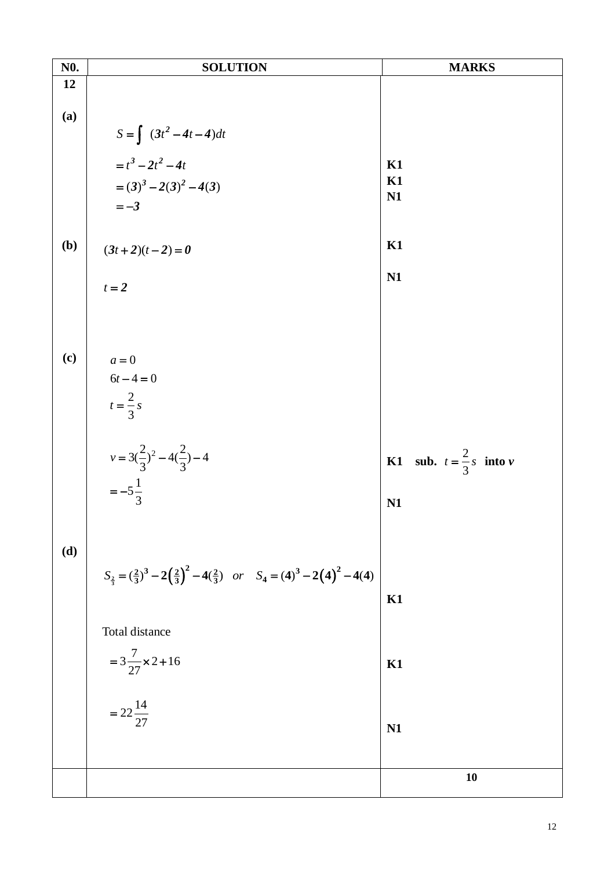| N <sub>0</sub> . | <b>SOLUTION</b>                                                                              | <b>MARKS</b>                              |
|------------------|----------------------------------------------------------------------------------------------|-------------------------------------------|
| 12               |                                                                                              |                                           |
| (a)              | $S = \int (3t^2 - 4t - 4)dt$                                                                 |                                           |
|                  | $=t^3-2t^2-4t$<br>$=(3)^3-2(3)^2-4(3)$                                                       | K1<br>K1                                  |
|                  | $=-3$                                                                                        | N1                                        |
| (b)              | $(3t+2)(t-2) = 0$                                                                            | K1                                        |
|                  | $t = 2$                                                                                      | N1                                        |
| (c)              | $a=0$                                                                                        |                                           |
|                  | $6t - 4 = 0$<br>$t = \frac{2}{3} s$                                                          |                                           |
|                  | $v = 3(\frac{2}{3})^2 - 4(\frac{2}{3}) - 4$<br>$=-5\frac{1}{3}$                              | <b>K1</b> sub. $t = \frac{2}{3} s$ into v |
|                  |                                                                                              | N1                                        |
| (d)              | $S_2 = (\frac{2}{3})^3 - 2(\frac{2}{3})^2 - 4(\frac{2}{3})$ or $S_4 = (4)^3 - 2(4)^2 - 4(4)$ | K1                                        |
|                  | Total distance                                                                               |                                           |
|                  | $=3\frac{7}{27}\times2+16$                                                                   | K1                                        |
|                  | $=22\frac{14}{27}$                                                                           | N1                                        |
|                  |                                                                                              | 10                                        |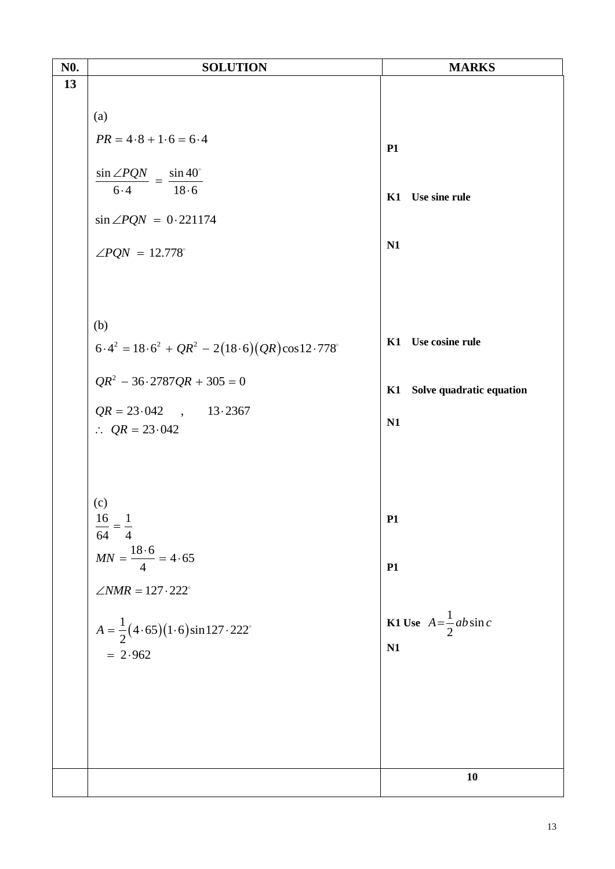| N <sub>0</sub> . | <b>SOLUTION</b>                                                | <b>MARKS</b>                            |
|------------------|----------------------------------------------------------------|-----------------------------------------|
| 13               |                                                                |                                         |
|                  | (a)                                                            |                                         |
|                  | $PR = 4.8 + 1.6 = 6.4$                                         | P1                                      |
|                  | $\frac{\sin \angle PQN}{6.4} = \frac{\sin 40^{\circ}}{18.6}$   |                                         |
|                  |                                                                | Use sine rule<br>K1                     |
|                  | $\sin \angle PQN = 0.221174$                                   | N1                                      |
|                  | $\angle PQN = 12.778^\circ$                                    |                                         |
|                  |                                                                |                                         |
|                  | (b)                                                            |                                         |
|                  | $6.4^{2} = 18.6^{2} + QR^{2} - 2(18.6)(QR)\cos 12.778^{\circ}$ | K1 Use cosine rule                      |
|                  | $QR^2 - 36.2787QR + 305 = 0$                                   | Solve quadratic equation<br>K1          |
|                  | $QR = 23.042$ , $13.2367$<br>$\therefore QR = 23.042$          | N1                                      |
|                  |                                                                |                                         |
|                  |                                                                |                                         |
|                  | (c)                                                            | <b>P1</b>                               |
|                  | $\frac{16}{64} = \frac{1}{4}$                                  |                                         |
|                  | $MN = \frac{18 \cdot 6}{4} = 4 \cdot 65$                       | P1                                      |
|                  | $\angle NMR = 127.222^\circ$                                   |                                         |
|                  | $A = \frac{1}{2}(4.65)(1.6)\sin 127.222^\circ$                 | <b>K1</b> Use $A = \frac{1}{2}ab\sin c$ |
|                  | $= 2.962$                                                      | N1                                      |
|                  |                                                                |                                         |
|                  |                                                                |                                         |
|                  |                                                                |                                         |
|                  |                                                                | 10                                      |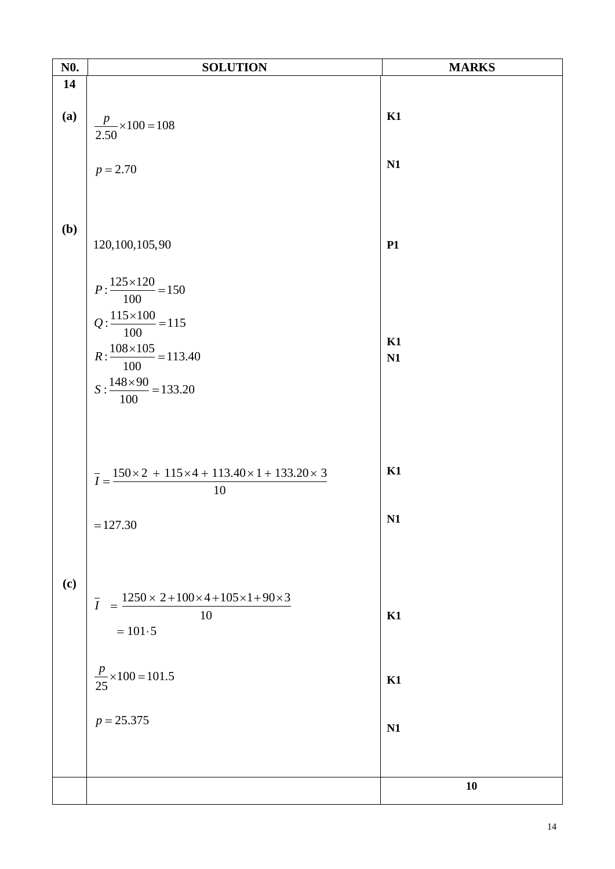| N <sub>0</sub> . | <b>SOLUTION</b>                                                                                                                                            | <b>MARKS</b>         |
|------------------|------------------------------------------------------------------------------------------------------------------------------------------------------------|----------------------|
| 14               |                                                                                                                                                            |                      |
| (a)              | $\frac{p}{2.50}$ × 100 = 108                                                                                                                               | K1                   |
|                  | $p = 2.70$                                                                                                                                                 | N <sub>1</sub>       |
| (b)              | 120, 100, 105, 90                                                                                                                                          | <b>P1</b>            |
|                  | $P:\frac{125\times120}{100}=150$<br>$Q:\frac{115\times100}{100} = 115$<br>$R:\frac{108\times105}{100} = 113.40$<br>$S: \frac{148 \times 90}{100} = 133.20$ | K1<br>N <sub>1</sub> |
|                  | $\overline{I} = \frac{150 \times 2 + 115 \times 4 + 113.40 \times 1 + 133.20 \times 3}{I}$<br>10                                                           | K1                   |
|                  | $= 127.30$                                                                                                                                                 | N1                   |
| (c)              | $1250 \times 2 + 100 \times 4 + 105 \times 1 + 90 \times 3$<br>$\overline{I}$<br>$=$ $\frac{12}{1}$<br>10<br>$=101\!\cdot\!5$                              | K1                   |
|                  | $\frac{p}{25}$ × 100 = 101.5                                                                                                                               | K1                   |
|                  | $p = 25.375$                                                                                                                                               | N <sub>1</sub>       |
|                  |                                                                                                                                                            |                      |
|                  |                                                                                                                                                            | 10                   |